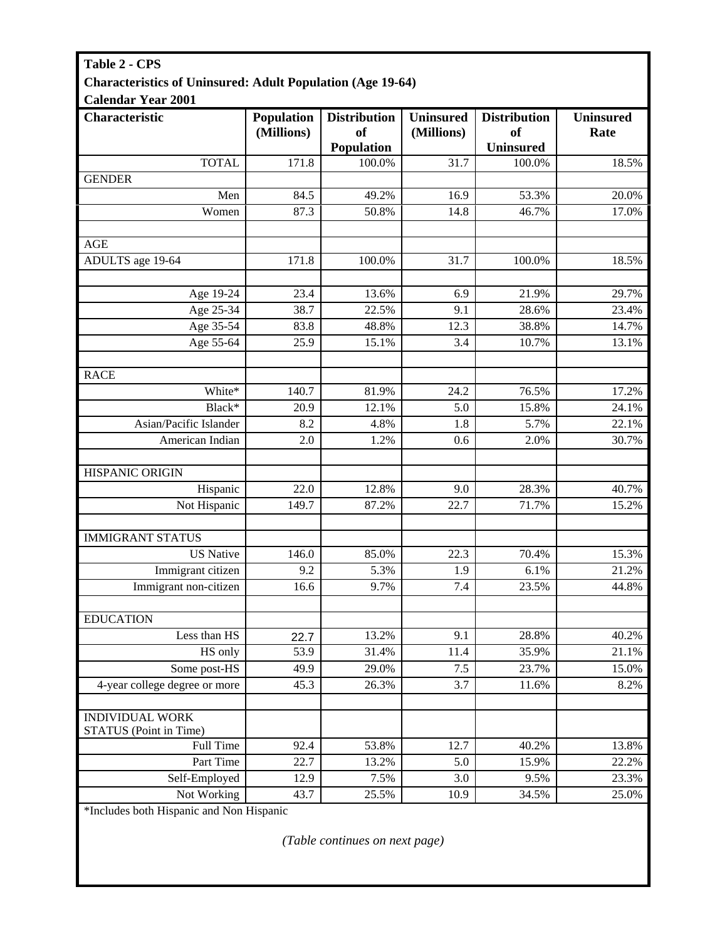## **Table 2 - CPS Characteristics of Uninsured: Adult Population (Age 19-64)**   $C<sub>al</sub>$ <sub>2</sub>nd<sub>ar</sub> V<sub>0</sub>

| Calendar Year 2001            |                          |                                                |                                |                                                      |                          |
|-------------------------------|--------------------------|------------------------------------------------|--------------------------------|------------------------------------------------------|--------------------------|
| Characteristic                | Population<br>(Millions) | <b>Distribution</b><br><b>of</b><br>Population | <b>Uninsured</b><br>(Millions) | <b>Distribution</b><br><b>of</b><br><b>Uninsured</b> | <b>Uninsured</b><br>Rate |
| <b>TOTAL</b>                  | 171.8                    | 100.0%                                         | 31.7                           | 100.0%                                               | 18.5%                    |
| <b>GENDER</b>                 |                          |                                                |                                |                                                      |                          |
| Men                           | 84.5                     | 49.2%                                          | 16.9                           | 53.3%                                                | 20.0%                    |
| Women                         | 87.3                     | 50.8%                                          | 14.8                           | 46.7%                                                | 17.0%                    |
|                               |                          |                                                |                                |                                                      |                          |
| <b>AGE</b>                    |                          |                                                |                                |                                                      |                          |
| ADULTS age 19-64              | 171.8                    | 100.0%                                         | 31.7                           | 100.0%                                               | 18.5%                    |
|                               |                          |                                                |                                |                                                      |                          |
| Age 19-24                     | 23.4                     | 13.6%                                          | 6.9                            | 21.9%                                                | 29.7%                    |
| Age 25-34                     | 38.7                     | 22.5%                                          | 9.1                            | 28.6%                                                | 23.4%                    |
| Age 35-54                     | 83.8                     | 48.8%                                          | 12.3                           | 38.8%                                                | 14.7%                    |
| Age 55-64                     | 25.9                     | 15.1%                                          | 3.4                            | 10.7%                                                | 13.1%                    |
|                               |                          |                                                |                                |                                                      |                          |
| <b>RACE</b>                   |                          |                                                |                                |                                                      |                          |
| White*                        | 140.7                    | 81.9%                                          | 24.2                           | 76.5%                                                | 17.2%                    |
| Black*                        | 20.9                     | 12.1%                                          | 5.0                            | 15.8%                                                | 24.1%                    |
| Asian/Pacific Islander        | 8.2                      | 4.8%                                           | 1.8                            | 5.7%                                                 | 22.1%                    |
| American Indian               | 2.0                      | 1.2%                                           | 0.6                            | 2.0%                                                 | 30.7%                    |
|                               |                          |                                                |                                |                                                      |                          |
| HISPANIC ORIGIN               |                          |                                                |                                |                                                      |                          |
| Hispanic                      | 22.0                     | 12.8%                                          | 9.0                            | 28.3%                                                | 40.7%                    |
| Not Hispanic                  | 149.7                    | 87.2%                                          | 22.7                           | 71.7%                                                | 15.2%                    |
|                               |                          |                                                |                                |                                                      |                          |
| <b>IMMIGRANT STATUS</b>       |                          |                                                |                                |                                                      |                          |
| <b>US</b> Native              | 146.0                    | 85.0%                                          | 22.3                           | 70.4%                                                | 15.3%                    |
| Immigrant citizen             | 9.2                      | 5.3%                                           | 1.9                            | 6.1%                                                 | 21.2%                    |
| Immigrant non-citizen         | 16.6                     | 9.7%                                           | 7.4                            | 23.5%                                                | 44.8%                    |
|                               |                          |                                                |                                |                                                      |                          |
| <b>EDUCATION</b>              |                          |                                                |                                |                                                      |                          |
| Less than HS                  | 22.7                     | 13.2%                                          | 9.1                            | 28.8%                                                | 40.2%                    |
| HS only                       | 53.9                     | 31.4%                                          | 11.4                           | 35.9%                                                | 21.1%                    |
| Some post-HS                  | 49.9                     | 29.0%                                          | 7.5                            | 23.7%                                                | 15.0%                    |
| 4-year college degree or more | 45.3                     | 26.3%                                          | 3.7                            | 11.6%                                                | 8.2%                     |
|                               |                          |                                                |                                |                                                      |                          |
| <b>INDIVIDUAL WORK</b>        |                          |                                                |                                |                                                      |                          |
| STATUS (Point in Time)        |                          |                                                |                                |                                                      |                          |
| Full Time                     | 92.4                     | 53.8%                                          | $12.\overline{7}$              | 40.2%                                                | 13.8%                    |
| Part Time                     | 22.7                     | 13.2%                                          | 5.0                            | 15.9%                                                | 22.2%                    |
| Self-Employed                 | 12.9                     | 7.5%                                           | 3.0                            | 9.5%                                                 | 23.3%                    |
| Not Working                   | 43.7                     | 25.5%                                          | 10.9                           | 34.5%                                                | 25.0%                    |

\*Includes both Hispanic and Non Hispanic

*(Table continues on next page)*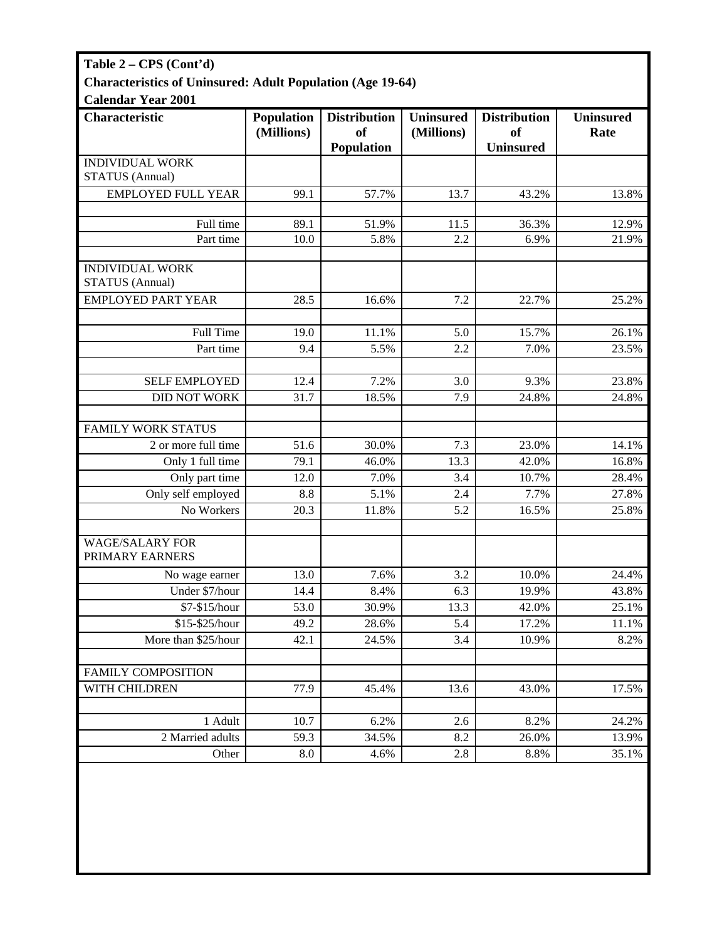| Table 2 – CPS (Cont'd)                                            |                          |                                                    |                                |                                                          |                          |  |  |  |
|-------------------------------------------------------------------|--------------------------|----------------------------------------------------|--------------------------------|----------------------------------------------------------|--------------------------|--|--|--|
| <b>Characteristics of Uninsured: Adult Population (Age 19-64)</b> |                          |                                                    |                                |                                                          |                          |  |  |  |
| <b>Calendar Year 2001</b>                                         |                          |                                                    |                                |                                                          |                          |  |  |  |
| <b>Characteristic</b>                                             | Population<br>(Millions) | <b>Distribution</b><br><sub>of</sub><br>Population | <b>Uninsured</b><br>(Millions) | <b>Distribution</b><br><sub>of</sub><br><b>Uninsured</b> | <b>Uninsured</b><br>Rate |  |  |  |
| <b>INDIVIDUAL WORK</b><br><b>STATUS</b> (Annual)                  |                          |                                                    |                                |                                                          |                          |  |  |  |
| <b>EMPLOYED FULL YEAR</b>                                         | 99.1                     | 57.7%                                              | 13.7                           | 43.2%                                                    | 13.8%                    |  |  |  |
|                                                                   |                          |                                                    |                                |                                                          |                          |  |  |  |
| Full time                                                         | 89.1                     | 51.9%                                              | 11.5                           | 36.3%                                                    | 12.9%                    |  |  |  |
| Part time                                                         | 10.0                     | 5.8%                                               | 2.2                            | 6.9%                                                     | 21.9%                    |  |  |  |
| <b>INDIVIDUAL WORK</b><br><b>STATUS</b> (Annual)                  |                          |                                                    |                                |                                                          |                          |  |  |  |
| <b>EMPLOYED PART YEAR</b>                                         | 28.5                     | 16.6%                                              | 7.2                            | 22.7%                                                    | 25.2%                    |  |  |  |
|                                                                   |                          |                                                    |                                |                                                          |                          |  |  |  |
| <b>Full Time</b>                                                  | 19.0                     | 11.1%                                              | 5.0                            | 15.7%                                                    | 26.1%                    |  |  |  |
| Part time                                                         | 9.4                      | 5.5%                                               | 2.2                            | 7.0%                                                     | 23.5%                    |  |  |  |
|                                                                   |                          |                                                    |                                |                                                          |                          |  |  |  |
| <b>SELF EMPLOYED</b>                                              | 12.4                     | 7.2%                                               | 3.0                            | 9.3%                                                     | 23.8%                    |  |  |  |
| <b>DID NOT WORK</b>                                               | 31.7                     | 18.5%                                              | 7.9                            | 24.8%                                                    | 24.8%                    |  |  |  |
|                                                                   |                          |                                                    |                                |                                                          |                          |  |  |  |
| <b>FAMILY WORK STATUS</b>                                         |                          |                                                    |                                |                                                          |                          |  |  |  |
| 2 or more full time                                               | 51.6                     | 30.0%                                              | 7.3                            | 23.0%                                                    | 14.1%                    |  |  |  |
| Only 1 full time                                                  | 79.1                     | 46.0%                                              | 13.3                           | 42.0%                                                    | 16.8%                    |  |  |  |
| Only part time                                                    | 12.0                     | 7.0%                                               | 3.4                            | 10.7%                                                    | 28.4%                    |  |  |  |
| Only self employed                                                | 8.8                      | 5.1%                                               | 2.4                            | 7.7%                                                     | 27.8%                    |  |  |  |
| No Workers                                                        | 20.3                     | 11.8%                                              | 5.2                            | 16.5%                                                    | 25.8%                    |  |  |  |
| <b>WAGE/SALARY FOR</b><br>PRIMARY EARNERS                         |                          |                                                    |                                |                                                          |                          |  |  |  |
| No wage earner                                                    | 13.0                     | 7.6%                                               | 3.2                            | 10.0%                                                    | 24.4%                    |  |  |  |
| Under \$7/hour                                                    | 14.4                     | 8.4%                                               | 6.3                            | 19.9%                                                    | 43.8%                    |  |  |  |
| \$7-\$15/hour                                                     | 53.0                     | 30.9%                                              | 13.3                           | 42.0%                                                    | 25.1%                    |  |  |  |
| \$15-\$25/hour                                                    | 49.2                     | 28.6%                                              | 5.4                            | 17.2%                                                    | 11.1%                    |  |  |  |
| More than \$25/hour                                               | 42.1                     | 24.5%                                              | 3.4                            | 10.9%                                                    | 8.2%                     |  |  |  |
|                                                                   |                          |                                                    |                                |                                                          |                          |  |  |  |
| <b>FAMILY COMPOSITION</b>                                         |                          |                                                    |                                |                                                          |                          |  |  |  |
| WITH CHILDREN                                                     | 77.9                     | 45.4%                                              | 13.6                           | 43.0%                                                    | 17.5%                    |  |  |  |
|                                                                   |                          |                                                    |                                |                                                          |                          |  |  |  |
| 1 Adult                                                           | 10.7                     | 6.2%                                               | 2.6                            | 8.2%                                                     | 24.2%                    |  |  |  |
| 2 Married adults                                                  | 59.3                     | 34.5%                                              | 8.2                            | 26.0%                                                    | 13.9%                    |  |  |  |
| Other                                                             | 8.0                      | 4.6%                                               | 2.8                            | 8.8%                                                     | 35.1%                    |  |  |  |
|                                                                   |                          |                                                    |                                |                                                          |                          |  |  |  |